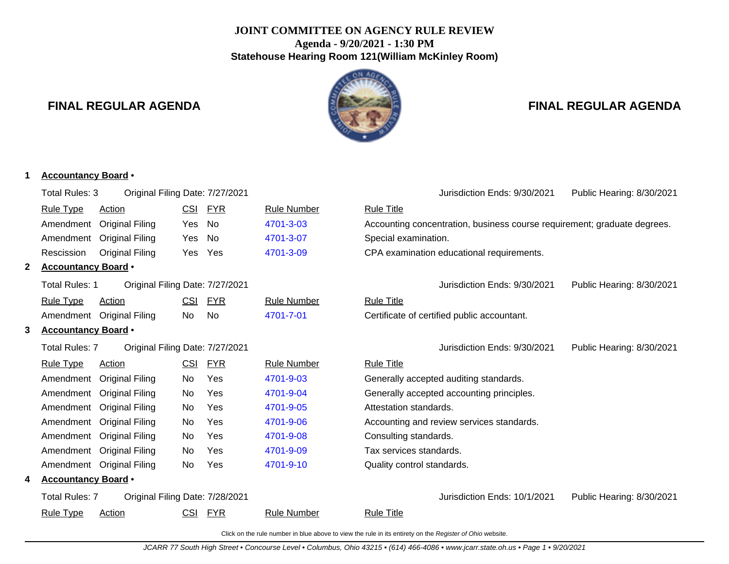# **JOINT COMMITTEE ON AGENCY RULE REVIEW Agenda - 9/20/2021 - 1:30 PM Statehouse Hearing Room 121(William McKinley Room)**

**1 Accountancy Board** •



# **FINAL REGULAR AGENDA FINAL REGULAR AGENDA**

|   | Total Rules: 3             | Original Filing Date: 7/27/2021 |            |            |                    | Jurisdiction Ends: 9/30/2021<br>Public Hearing: 8/30/2021                |
|---|----------------------------|---------------------------------|------------|------------|--------------------|--------------------------------------------------------------------------|
|   | <b>Rule Type</b>           | <b>Action</b>                   |            | CSI FYR    | <b>Rule Number</b> | <b>Rule Title</b>                                                        |
|   | Amendment                  | <b>Original Filing</b>          | Yes        | No         | 4701-3-03          | Accounting concentration, business course requirement; graduate degrees. |
|   | Amendment                  | <b>Original Filing</b>          | Yes        | No         | 4701-3-07          | Special examination.                                                     |
|   | Rescission                 | <b>Original Filing</b>          | Yes        | Yes        | 4701-3-09          | CPA examination educational requirements.                                |
| 2 | <b>Accountancy Board •</b> |                                 |            |            |                    |                                                                          |
|   | <b>Total Rules: 1</b>      | Original Filing Date: 7/27/2021 |            |            |                    | Jurisdiction Ends: 9/30/2021<br>Public Hearing: 8/30/2021                |
|   | <b>Rule Type</b>           | <b>Action</b>                   | CSI        | <b>FYR</b> | <b>Rule Number</b> | <b>Rule Title</b>                                                        |
|   |                            | Amendment Original Filing       | No         | No         | 4701-7-01          | Certificate of certified public accountant.                              |
| 3 | <b>Accountancy Board •</b> |                                 |            |            |                    |                                                                          |
|   | <b>Total Rules: 7</b>      | Original Filing Date: 7/27/2021 |            |            |                    | Jurisdiction Ends: 9/30/2021<br>Public Hearing: 8/30/2021                |
|   | <b>Rule Type</b>           | Action                          | <b>CSI</b> | <b>FYR</b> | <b>Rule Number</b> | <b>Rule Title</b>                                                        |
|   | Amendment                  | <b>Original Filing</b>          | No         | Yes        | 4701-9-03          | Generally accepted auditing standards.                                   |
|   |                            | Amendment Original Filing       | No         | Yes        | 4701-9-04          | Generally accepted accounting principles.                                |
|   |                            | Amendment Original Filing       | No         | Yes        | 4701-9-05          | Attestation standards.                                                   |
|   |                            | Amendment Original Filing       | No         | Yes        | 4701-9-06          | Accounting and review services standards.                                |
|   | Amendment                  | <b>Original Filing</b>          | No         | Yes        | 4701-9-08          | Consulting standards.                                                    |
|   | Amendment                  | <b>Original Filing</b>          | No         | Yes        | 4701-9-09          | Tax services standards.                                                  |
|   |                            | Amendment Original Filing       | No         | Yes        | 4701-9-10          | Quality control standards.                                               |
| 4 | <b>Accountancy Board .</b> |                                 |            |            |                    |                                                                          |
|   | <b>Total Rules: 7</b>      | Original Filing Date: 7/28/2021 |            |            |                    | Jurisdiction Ends: 10/1/2021<br>Public Hearing: 8/30/2021                |
|   | <b>Rule Type</b>           | Action                          | <b>CSI</b> | <b>FYR</b> | <b>Rule Number</b> | <b>Rule Title</b>                                                        |
|   |                            |                                 |            |            |                    |                                                                          |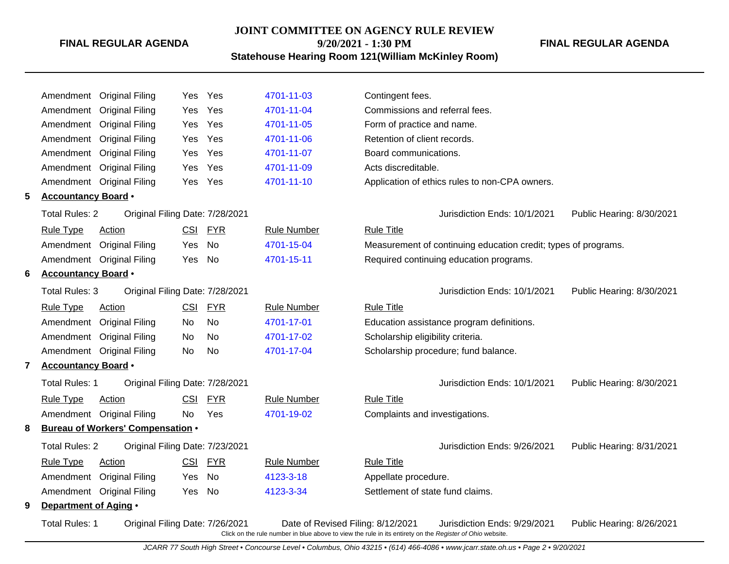# **JOINT COMMITTEE ON AGENCY RULE REVIEW**

**9/20/2021 - 1:30 PM**

# **Statehouse Hearing Room 121(William McKinley Room)**

# **FINAL REGULAR AGENDA**

|   | Amendment                  | <b>Original Filing</b>                   | Yes        | Yes        | 4701-11-03                                                                                                                                    | Contingent fees.                  |                                                                |                           |
|---|----------------------------|------------------------------------------|------------|------------|-----------------------------------------------------------------------------------------------------------------------------------------------|-----------------------------------|----------------------------------------------------------------|---------------------------|
|   |                            | Amendment Original Filing                | Yes        | Yes        | 4701-11-04                                                                                                                                    | Commissions and referral fees.    |                                                                |                           |
|   |                            | Amendment Original Filing                | Yes        | Yes        | 4701-11-05                                                                                                                                    | Form of practice and name.        |                                                                |                           |
|   |                            | Amendment Original Filing                | Yes        | Yes        | 4701-11-06                                                                                                                                    | Retention of client records.      |                                                                |                           |
|   |                            | Amendment Original Filing                | Yes        | Yes        | 4701-11-07                                                                                                                                    | Board communications.             |                                                                |                           |
|   |                            | Amendment Original Filing                | Yes        | Yes        | 4701-11-09                                                                                                                                    | Acts discreditable.               |                                                                |                           |
|   |                            | Amendment Original Filing                | Yes        | Yes        | 4701-11-10                                                                                                                                    |                                   | Application of ethics rules to non-CPA owners.                 |                           |
| 5 | <b>Accountancy Board .</b> |                                          |            |            |                                                                                                                                               |                                   |                                                                |                           |
|   | <b>Total Rules: 2</b>      | Original Filing Date: 7/28/2021          |            |            |                                                                                                                                               |                                   | Jurisdiction Ends: 10/1/2021                                   | Public Hearing: 8/30/2021 |
|   | <b>Rule Type</b>           | <b>Action</b>                            | CSI        | <b>FYR</b> | <b>Rule Number</b>                                                                                                                            | <b>Rule Title</b>                 |                                                                |                           |
|   |                            | Amendment Original Filing                | Yes.       | No         | 4701-15-04                                                                                                                                    |                                   | Measurement of continuing education credit; types of programs. |                           |
|   |                            | Amendment Original Filing                | Yes        | No         | 4701-15-11                                                                                                                                    |                                   | Required continuing education programs.                        |                           |
| 6 | <b>Accountancy Board •</b> |                                          |            |            |                                                                                                                                               |                                   |                                                                |                           |
|   | <b>Total Rules: 3</b>      | Original Filing Date: 7/28/2021          |            |            |                                                                                                                                               |                                   | Jurisdiction Ends: 10/1/2021                                   | Public Hearing: 8/30/2021 |
|   | <b>Rule Type</b>           | <b>Action</b>                            | <b>CSI</b> | <b>FYR</b> | <b>Rule Number</b>                                                                                                                            | <b>Rule Title</b>                 |                                                                |                           |
|   | Amendment                  | <b>Original Filing</b>                   | No         | <b>No</b>  | 4701-17-01                                                                                                                                    |                                   | Education assistance program definitions.                      |                           |
|   |                            | Amendment Original Filing                | No         | <b>No</b>  | 4701-17-02                                                                                                                                    | Scholarship eligibility criteria. |                                                                |                           |
|   |                            | Amendment Original Filing                | No         | <b>No</b>  | 4701-17-04                                                                                                                                    |                                   | Scholarship procedure; fund balance.                           |                           |
| 7 | <b>Accountancy Board •</b> |                                          |            |            |                                                                                                                                               |                                   |                                                                |                           |
|   | <b>Total Rules: 1</b>      | Original Filing Date: 7/28/2021          |            |            |                                                                                                                                               |                                   | Jurisdiction Ends: 10/1/2021                                   | Public Hearing: 8/30/2021 |
|   | <b>Rule Type</b>           | <b>Action</b>                            | <b>CSI</b> | <b>FYR</b> | <b>Rule Number</b>                                                                                                                            | <b>Rule Title</b>                 |                                                                |                           |
|   |                            | Amendment Original Filing                | No.        | Yes        | 4701-19-02                                                                                                                                    | Complaints and investigations.    |                                                                |                           |
| 8 |                            | <b>Bureau of Workers' Compensation •</b> |            |            |                                                                                                                                               |                                   |                                                                |                           |
|   | <b>Total Rules: 2</b>      | Original Filing Date: 7/23/2021          |            |            |                                                                                                                                               |                                   | Jurisdiction Ends: 9/26/2021                                   | Public Hearing: 8/31/2021 |
|   | <b>Rule Type</b>           | Action                                   | <b>CSI</b> | <b>FYR</b> | <b>Rule Number</b>                                                                                                                            | <b>Rule Title</b>                 |                                                                |                           |
|   |                            | Amendment Original Filing                | Yes        | No         | 4123-3-18                                                                                                                                     | Appellate procedure.              |                                                                |                           |
|   |                            | Amendment Original Filing                | Yes.       | No         | 4123-3-34                                                                                                                                     | Settlement of state fund claims.  |                                                                |                           |
| 9 | Department of Aging .      |                                          |            |            |                                                                                                                                               |                                   |                                                                |                           |
|   | <b>Total Rules: 1</b>      | Original Filing Date: 7/26/2021          |            |            | Date of Revised Filing: 8/12/2021<br>Click on the rule number in blue above to view the rule in its entirety on the Register of Ohio website. |                                   | Jurisdiction Ends: 9/29/2021                                   | Public Hearing: 8/26/2021 |

JCARR 77 South High Street • Concourse Level • Columbus, Ohio 43215 • (614) 466-4086 • www.jcarr.state.oh.us • Page 2 • 9/20/2021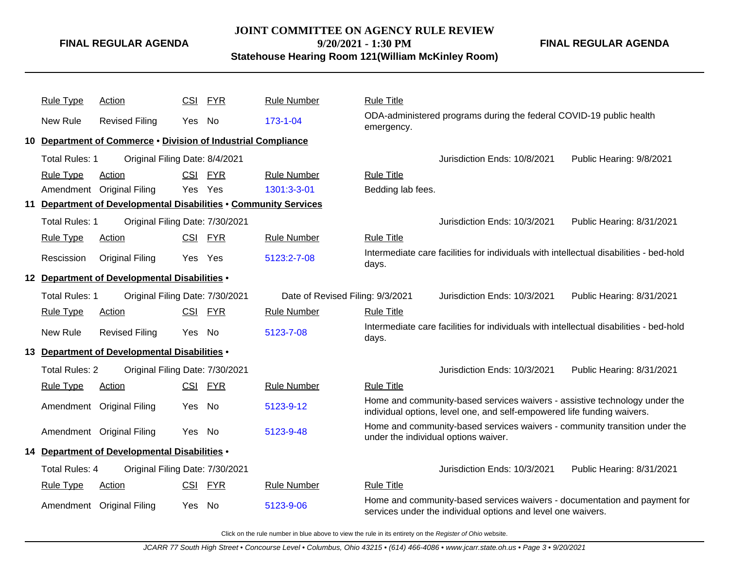# **JOINT COMMITTEE ON AGENCY RULE REVIEW**

**9/20/2021 - 1:30 PM**

**Statehouse Hearing Room 121(William McKinley Room)**

**FINAL REGULAR AGENDA**

| <b>Rule Type</b>      | Action                                                           | <b>CSI</b> | FYR        | <b>Rule Number</b>               | <b>Rule Title</b>                    |                                                                                                                                                       |                           |
|-----------------------|------------------------------------------------------------------|------------|------------|----------------------------------|--------------------------------------|-------------------------------------------------------------------------------------------------------------------------------------------------------|---------------------------|
| New Rule              | <b>Revised Filing</b>                                            | Yes No     |            | 173-1-04                         | emergency.                           | ODA-administered programs during the federal COVID-19 public health                                                                                   |                           |
|                       | 10 Department of Commerce . Division of Industrial Compliance    |            |            |                                  |                                      |                                                                                                                                                       |                           |
| Total Rules: 1        | Original Filing Date: 8/4/2021                                   |            |            |                                  |                                      | Jurisdiction Ends: 10/8/2021                                                                                                                          | Public Hearing: 9/8/2021  |
| <b>Rule Type</b>      | Action                                                           | <b>CSI</b> | <b>FYR</b> | <b>Rule Number</b>               | <b>Rule Title</b>                    |                                                                                                                                                       |                           |
| Amendment             | <b>Original Filing</b>                                           |            | Yes Yes    | 1301:3-3-01                      | Bedding lab fees.                    |                                                                                                                                                       |                           |
|                       | 11 Department of Developmental Disabilities . Community Services |            |            |                                  |                                      |                                                                                                                                                       |                           |
| Total Rules: 1        | Original Filing Date: 7/30/2021                                  |            |            |                                  |                                      | Jurisdiction Ends: 10/3/2021                                                                                                                          | Public Hearing: 8/31/2021 |
| <b>Rule Type</b>      | Action                                                           | CSI        | <b>FYR</b> | <b>Rule Number</b>               | <b>Rule Title</b>                    |                                                                                                                                                       |                           |
| Rescission            | <b>Original Filing</b>                                           |            | Yes Yes    | 5123:2-7-08                      | days.                                | Intermediate care facilities for individuals with intellectual disabilities - bed-hold                                                                |                           |
|                       | 12 Department of Developmental Disabilities .                    |            |            |                                  |                                      |                                                                                                                                                       |                           |
| Total Rules: 1        | Original Filing Date: 7/30/2021                                  |            |            | Date of Revised Filing: 9/3/2021 |                                      | Jurisdiction Ends: 10/3/2021                                                                                                                          | Public Hearing: 8/31/2021 |
| <b>Rule Type</b>      | Action                                                           |            | CSI FYR    | <b>Rule Number</b>               | <b>Rule Title</b>                    |                                                                                                                                                       |                           |
| New Rule              | <b>Revised Filing</b>                                            | Yes No     |            | 5123-7-08                        | days.                                | Intermediate care facilities for individuals with intellectual disabilities - bed-hold                                                                |                           |
|                       | 13 Department of Developmental Disabilities .                    |            |            |                                  |                                      |                                                                                                                                                       |                           |
| <b>Total Rules: 2</b> | Original Filing Date: 7/30/2021                                  |            |            |                                  |                                      | Jurisdiction Ends: 10/3/2021                                                                                                                          | Public Hearing: 8/31/2021 |
| <b>Rule Type</b>      | Action                                                           |            | CSI FYR    | <b>Rule Number</b>               | <b>Rule Title</b>                    |                                                                                                                                                       |                           |
|                       | Amendment Original Filing                                        | Yes        | - No       | 5123-9-12                        |                                      | Home and community-based services waivers - assistive technology under the<br>individual options, level one, and self-empowered life funding waivers. |                           |
|                       | Amendment Original Filing                                        | Yes No     |            | 5123-9-48                        | under the individual options waiver. | Home and community-based services waivers - community transition under the                                                                            |                           |
|                       | 14 Department of Developmental Disabilities .                    |            |            |                                  |                                      |                                                                                                                                                       |                           |
| Total Rules: 4        | Original Filing Date: 7/30/2021                                  |            |            |                                  |                                      | Jurisdiction Ends: 10/3/2021                                                                                                                          | Public Hearing: 8/31/2021 |
| <b>Rule Type</b>      | <b>Action</b>                                                    |            | CSI FYR    | <b>Rule Number</b>               | <b>Rule Title</b>                    |                                                                                                                                                       |                           |
| Amendment             | <b>Original Filing</b>                                           | Yes        | No         | 5123-9-06                        |                                      | Home and community-based services waivers - documentation and payment for<br>services under the individual options and level one waivers.             |                           |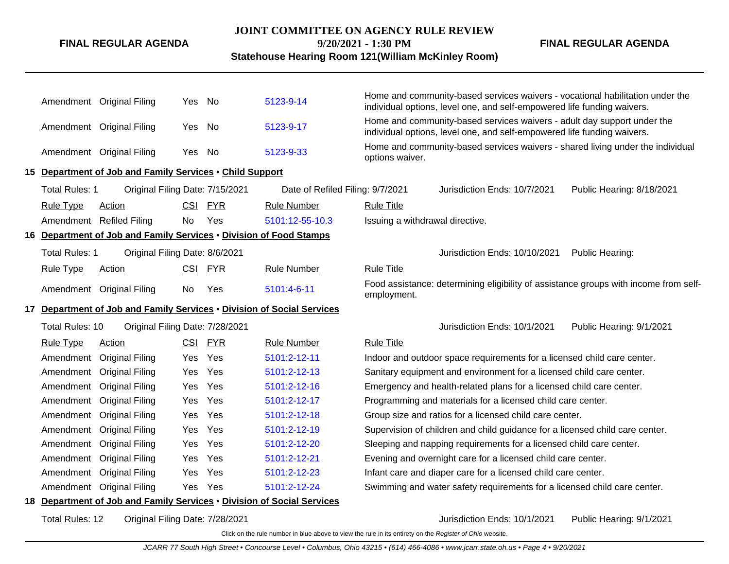### **JOINT COMMITTEE ON AGENCY RULE REVIEW**

**9/20/2021 - 1:30 PM**

# **Statehouse Hearing Room 121(William McKinley Room)**

**FINAL REGULAR AGENDA**

|                       | Amendment Original Filing                                              | Yes No     |            | 5123-9-14                        |                                 | individual options, level one, and self-empowered life funding waivers.                                                                            | Home and community-based services waivers - vocational habilitation under the        |
|-----------------------|------------------------------------------------------------------------|------------|------------|----------------------------------|---------------------------------|----------------------------------------------------------------------------------------------------------------------------------------------------|--------------------------------------------------------------------------------------|
|                       | Amendment Original Filing                                              | Yes No     |            | 5123-9-17                        |                                 | Home and community-based services waivers - adult day support under the<br>individual options, level one, and self-empowered life funding waivers. |                                                                                      |
|                       | Amendment Original Filing                                              | Yes No     |            | 5123-9-33                        | options waiver.                 |                                                                                                                                                    | Home and community-based services waivers - shared living under the individual       |
|                       | 15 Department of Job and Family Services . Child Support               |            |            |                                  |                                 |                                                                                                                                                    |                                                                                      |
| <b>Total Rules: 1</b> | Original Filing Date: 7/15/2021                                        |            |            | Date of Refiled Filing: 9/7/2021 |                                 | Jurisdiction Ends: 10/7/2021                                                                                                                       | Public Hearing: 8/18/2021                                                            |
| <b>Rule Type</b>      | Action                                                                 | CSI        | <b>FYR</b> | <b>Rule Number</b>               | <b>Rule Title</b>               |                                                                                                                                                    |                                                                                      |
|                       | Amendment Refiled Filing                                               | No         | Yes        | 5101:12-55-10.3                  | Issuing a withdrawal directive. |                                                                                                                                                    |                                                                                      |
|                       | 16 Department of Job and Family Services . Division of Food Stamps     |            |            |                                  |                                 |                                                                                                                                                    |                                                                                      |
| Total Rules: 1        | Original Filing Date: 8/6/2021                                         |            |            |                                  |                                 | Jurisdiction Ends: 10/10/2021                                                                                                                      | Public Hearing:                                                                      |
| <b>Rule Type</b>      | <b>Action</b>                                                          | <b>CSI</b> | <u>FYR</u> | <b>Rule Number</b>               | <b>Rule Title</b>               |                                                                                                                                                    |                                                                                      |
|                       | Amendment Original Filing                                              | No         | Yes        | 5101:4-6-11                      | employment.                     |                                                                                                                                                    | Food assistance: determining eligibility of assistance groups with income from self- |
|                       | 17 Department of Job and Family Services . Division of Social Services |            |            |                                  |                                 |                                                                                                                                                    |                                                                                      |
| Total Rules: 10       | Original Filing Date: 7/28/2021                                        |            |            |                                  |                                 | Jurisdiction Ends: 10/1/2021                                                                                                                       | Public Hearing: 9/1/2021                                                             |
| <b>Rule Type</b>      | Action                                                                 | CSI        | <b>FYR</b> | <b>Rule Number</b>               | <b>Rule Title</b>               |                                                                                                                                                    |                                                                                      |
| Amendment             | <b>Original Filing</b>                                                 | Yes        | Yes        | 5101:2-12-11                     |                                 | Indoor and outdoor space requirements for a licensed child care center.                                                                            |                                                                                      |
|                       | Amendment Original Filing                                              | <b>Yes</b> | Yes        | 5101:2-12-13                     |                                 | Sanitary equipment and environment for a licensed child care center.                                                                               |                                                                                      |
|                       | Amendment Original Filing                                              | Yes        | Yes        | 5101:2-12-16                     |                                 | Emergency and health-related plans for a licensed child care center.                                                                               |                                                                                      |
|                       | Amendment Original Filing                                              | Yes        | Yes        | 5101:2-12-17                     |                                 | Programming and materials for a licensed child care center.                                                                                        |                                                                                      |
|                       | Amendment Original Filing                                              | Yes        | Yes        | 5101:2-12-18                     |                                 | Group size and ratios for a licensed child care center.                                                                                            |                                                                                      |
|                       | Amendment Original Filing                                              | Yes        | Yes        | 5101:2-12-19                     |                                 | Supervision of children and child guidance for a licensed child care center.                                                                       |                                                                                      |
|                       | Amendment Original Filing                                              | Yes        | Yes        | 5101:2-12-20                     |                                 | Sleeping and napping requirements for a licensed child care center.                                                                                |                                                                                      |
|                       | Amendment Original Filing                                              | Yes        | Yes        | 5101:2-12-21                     |                                 | Evening and overnight care for a licensed child care center.                                                                                       |                                                                                      |
|                       | Amendment Original Filing                                              | Yes        | Yes        | 5101:2-12-23                     |                                 | Infant care and diaper care for a licensed child care center.                                                                                      |                                                                                      |
|                       | Amendment Original Filing                                              | Yes Yes    |            | 5101:2-12-24                     |                                 | Swimming and water safety requirements for a licensed child care center.                                                                           |                                                                                      |
|                       | 18 Department of Job and Family Services . Division of Social Services |            |            |                                  |                                 |                                                                                                                                                    |                                                                                      |
|                       |                                                                        |            |            |                                  |                                 |                                                                                                                                                    |                                                                                      |

Total Rules: 12 Original Filing Date: 7/28/2021 **Material Accord Public Hearing: 9/1/2021** Public Hearing: 9/1/2021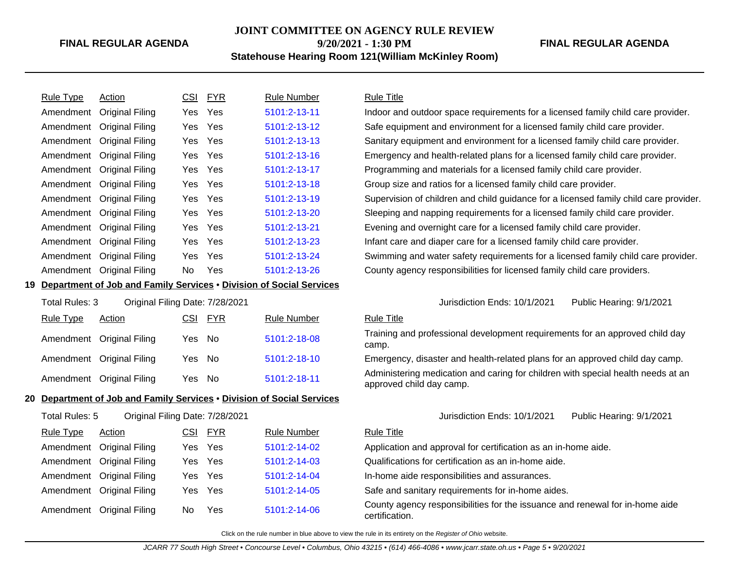#### **JOINT COMMITTEE ON AGENCY RULE REVIEW 9/20/2021 - 1:30 PM**

**FINAL REGULAR AGENDA**

**Statehouse Hearing Room 121(William McKinley Room)**

| <u>Rule Type</u> | Action                    | CSI | <b>FYR</b> | <b>Rule Number</b> | <b>Rule Title</b> |
|------------------|---------------------------|-----|------------|--------------------|-------------------|
| Amendment        | <b>Original Filing</b>    |     | Yes Yes    | 5101:2-13-11       | Indoor an         |
|                  | Amendment Original Filing |     | Yes Yes    | 5101:2-13-12       | Safe equi         |
|                  | Amendment Original Filing |     | Yes Yes    | 5101:2-13-13       | Sanitary e        |
|                  | Amendment Original Filing |     | Yes Yes    | 5101:2-13-16       | Emergen           |
|                  | Amendment Original Filing |     | Yes Yes    | 5101:2-13-17       | Programn          |
|                  | Amendment Original Filing |     | Yes Yes    | 5101:2-13-18       | Group siz         |
|                  | Amendment Original Filing |     | Yes Yes    | 5101:2-13-19       | Supervisi         |
|                  | Amendment Original Filing |     | Yes Yes    | 5101:2-13-20       | Sleeping          |
|                  | Amendment Original Filing |     | Yes Yes    | 5101:2-13-21       | Evening a         |
|                  | Amendment Original Filing |     | Yes Yes    | 5101:2-13-23       | Infant car        |
|                  | Amendment Original Filing |     | Yes Yes    | 5101:2-13-24       | Swimming          |
|                  | Amendment Original Filing | No. | <b>Yes</b> | 5101:2-13-26       | County a          |
|                  |                           |     |            |                    |                   |

#### **19 Department of Job and Family Services** • **Division of Social Services**

| Total Rules: 3   | Original Filing Date: 7/28/2021 |        |            |                    |                       |
|------------------|---------------------------------|--------|------------|--------------------|-----------------------|
| <b>Rule Type</b> | Action                          | CSI    | <b>FYR</b> | <b>Rule Number</b> | <b>Rule Title</b>     |
|                  | Amendment Original Filing       | Yes No |            | 5101:2-18-08       | Training a<br>camp.   |
|                  | Amendment Original Filing       | Yes No |            | 5101:2-18-10       | Emergen               |
|                  | Amendment Original Filing       | Yes    | - No       | 5101:2-18-11       | Administe<br>approved |

#### **20 Department of Job and Family Services** • **Division of Social Services**

| <b>Rule Type</b> | Action                    | <b>CSI</b> | <b>FYR</b> | <b>Rule Number</b> | <b>Rule Title</b>                    |
|------------------|---------------------------|------------|------------|--------------------|--------------------------------------|
|                  | Amendment Original Filing |            | Yes Yes    | 5101:2-14-02       | Applicatio                           |
|                  | Amendment Original Filing |            | Yes Yes    | 5101:2-14-03       | Qualificat                           |
|                  | Amendment Original Filing |            | Yes Yes    | 5101:2-14-04       | In-home a                            |
|                  | Amendment Original Filing |            | Yes Yes    | 5101:2-14-05       | Safe and                             |
|                  | Amendment Original Filing | No         | Yes        | 5101:2-14-06       | County a<br>$\sim$ rtifi $\sim$ ntic |

Indoor and outdoor space requirements for a licensed family child care provider. Safe equipment and environment for a licensed family child care provider. Sanitary equipment and environment for a licensed family child care provider. Emergency and health-related plans for a licensed family child care provider. Programming and materials for a licensed family child care provider. Group size and ratios for a licensed family child care provider. Supervision of children and child guidance for a licensed family child care provider. Sleeping and napping requirements for a licensed family child care provider. Evening and overnight care for a licensed family child care provider. Infant care and diaper care for a licensed family child care provider. Swimming and water safety requirements for a licensed family child care provider. County agency responsibilities for licensed family child care providers.

Jurisdiction Ends: 10/1/2021 Public Hearing: 9/1/2021

Training and professional development requirements for an approved child day camp.

Emergency, disaster and health-related plans for an approved child day camp. Administering medication and caring for children with special health needs at an approved child day camp.

Total Rules: 5 Original Filing Date: 7/28/2021 Jurisdiction Ends: 10/1/2021 Public Hearing: 9/1/2021

Application and approval for certification as an in-home aide.

Qualifications for certification as an in-home aide.

In-home aide responsibilities and assurances.

Safe and sanitary requirements for in-home aides.

County agency responsibilities for the issuance and renewal for in-home aide certification.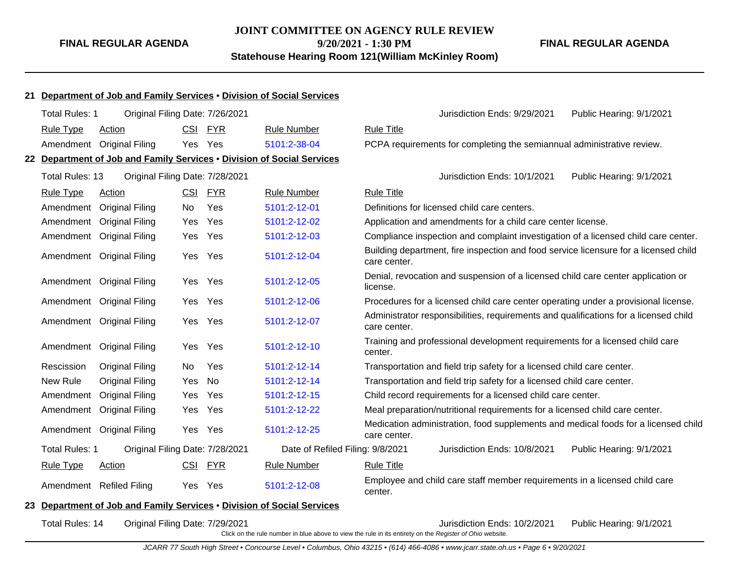**FINAL REGULAR AGENDA**

|                       | 21 Department of Job and Family Services . Division of Social Services |            |            |                                  |                                                                                                      |
|-----------------------|------------------------------------------------------------------------|------------|------------|----------------------------------|------------------------------------------------------------------------------------------------------|
| <b>Total Rules: 1</b> | Original Filing Date: 7/26/2021                                        |            |            |                                  | Jurisdiction Ends: 9/29/2021<br>Public Hearing: 9/1/2021                                             |
| <b>Rule Type</b>      | Action                                                                 | <b>CSI</b> | <b>FYR</b> | <b>Rule Number</b>               | <b>Rule Title</b>                                                                                    |
|                       | Amendment Original Filing                                              | Yes Yes    |            | 5101:2-38-04                     | PCPA requirements for completing the semiannual administrative review.                               |
|                       | 22 Department of Job and Family Services . Division of Social Services |            |            |                                  |                                                                                                      |
| Total Rules: 13       | Original Filing Date: 7/28/2021                                        |            |            |                                  | Public Hearing: 9/1/2021<br>Jurisdiction Ends: 10/1/2021                                             |
| <b>Rule Type</b>      | <b>Action</b>                                                          | <u>CSI</u> | <b>FYR</b> | <b>Rule Number</b>               | <b>Rule Title</b>                                                                                    |
|                       | Amendment Original Filing                                              | No         | Yes        | 5101:2-12-01                     | Definitions for licensed child care centers.                                                         |
|                       | Amendment Original Filing                                              | Yes        | Yes        | 5101:2-12-02                     | Application and amendments for a child care center license.                                          |
|                       | Amendment Original Filing                                              | Yes        | Yes        | 5101:2-12-03                     | Compliance inspection and complaint investigation of a licensed child care center.                   |
|                       | Amendment Original Filing                                              | Yes Yes    |            | 5101:2-12-04                     | Building department, fire inspection and food service licensure for a licensed child<br>care center. |
|                       | Amendment Original Filing                                              | Yes.       | Yes        | 5101:2-12-05                     | Denial, revocation and suspension of a licensed child care center application or<br>license.         |
|                       | Amendment Original Filing                                              | Yes Yes    |            | 5101:2-12-06                     | Procedures for a licensed child care center operating under a provisional license.                   |
|                       | Amendment Original Filing                                              | Yes        | Yes        | 5101:2-12-07                     | Administrator responsibilities, requirements and qualifications for a licensed child<br>care center. |
|                       | Amendment Original Filing                                              | Yes Yes    |            | 5101:2-12-10                     | Training and professional development requirements for a licensed child care<br>center.              |
| Rescission            | <b>Original Filing</b>                                                 | No.        | Yes        | 5101:2-12-14                     | Transportation and field trip safety for a licensed child care center.                               |
| New Rule              | <b>Original Filing</b>                                                 | Yes        | No         | 5101:2-12-14                     | Transportation and field trip safety for a licensed child care center.                               |
| Amendment             | <b>Original Filing</b>                                                 | Yes        | Yes        | 5101:2-12-15                     | Child record requirements for a licensed child care center.                                          |
| Amendment             | <b>Original Filing</b>                                                 | Yes        | Yes        | 5101:2-12-22                     | Meal preparation/nutritional requirements for a licensed child care center.                          |
|                       | Amendment Original Filing                                              | Yes        | Yes        | 5101:2-12-25                     | Medication administration, food supplements and medical foods for a licensed child<br>care center.   |
| <b>Total Rules: 1</b> | Original Filing Date: 7/28/2021                                        |            |            | Date of Refiled Filing: 9/8/2021 | Jurisdiction Ends: 10/8/2021<br>Public Hearing: 9/1/2021                                             |
| <b>Rule Type</b>      | Action                                                                 | <b>CSI</b> | <b>FYR</b> | <b>Rule Number</b>               | <b>Rule Title</b>                                                                                    |
|                       | Amendment Refiled Filing                                               | Yes        | Yes        | 5101:2-12-08                     | Employee and child care staff member requirements in a licensed child care<br>center.                |
|                       |                                                                        |            |            |                                  |                                                                                                      |

### **23 Department of Job and Family Services** • **Division of Social Services**

Total Rules: 14 Original Filing Date: 7/29/2021 **Contact Contact Act Contact Contact Contact Contact Contact Contact Contact Contact Contact Contact Contact Contact Contact Contact Contact Contact Contact Contact Contact C**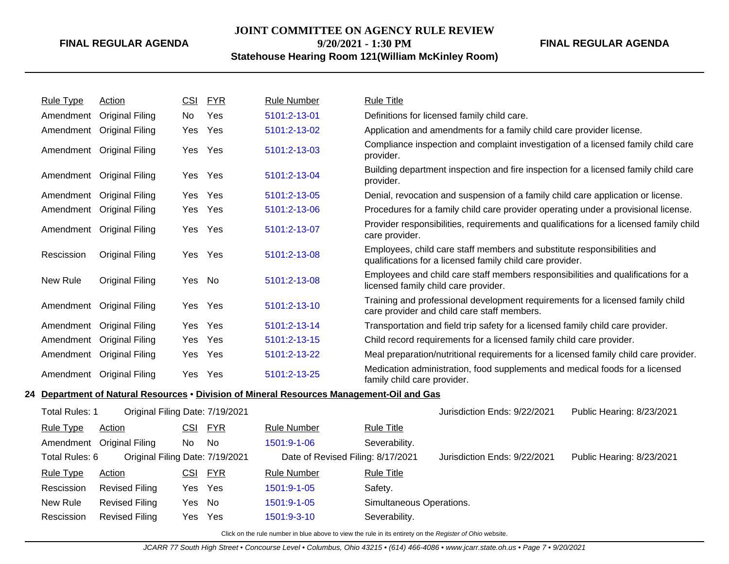# **JOINT COMMITTEE ON AGENCY RULE REVIEW**

**9/20/2021 - 1:30 PM**

# **Statehouse Hearing Room 121(William McKinley Room)**

**FINAL REGULAR AGENDA**

| <b>Rule Type</b> | Action                          | CSI | <b>FYR</b> | <b>Rule Number</b>                                                                        | <b>Rule Title</b>                                                                                                                    |
|------------------|---------------------------------|-----|------------|-------------------------------------------------------------------------------------------|--------------------------------------------------------------------------------------------------------------------------------------|
|                  | Amendment Original Filing       | No  | Yes        | 5101:2-13-01                                                                              | Definitions for licensed family child care.                                                                                          |
|                  | Amendment Original Filing       | Yes | Yes        | 5101:2-13-02                                                                              | Application and amendments for a family child care provider license.                                                                 |
|                  | Amendment Original Filing       | Yes | Yes        | 5101:2-13-03                                                                              | Compliance inspection and complaint investigation of a licensed family child care<br>provider.                                       |
|                  | Amendment Original Filing       | Yes | Yes        | 5101:2-13-04                                                                              | Building department inspection and fire inspection for a licensed family child care<br>provider.                                     |
|                  | Amendment Original Filing       | Yes | Yes        | 5101:2-13-05                                                                              | Denial, revocation and suspension of a family child care application or license.                                                     |
|                  | Amendment Original Filing       | Yes | Yes        | 5101:2-13-06                                                                              | Procedures for a family child care provider operating under a provisional license.                                                   |
|                  | Amendment Original Filing       | Yes | Yes        | 5101:2-13-07                                                                              | Provider responsibilities, requirements and qualifications for a licensed family child<br>care provider.                             |
| Rescission       | <b>Original Filing</b>          | Yes | Yes        | 5101:2-13-08                                                                              | Employees, child care staff members and substitute responsibilities and<br>qualifications for a licensed family child care provider. |
| New Rule         | <b>Original Filing</b>          | Yes | - No       | 5101:2-13-08                                                                              | Employees and child care staff members responsibilities and qualifications for a<br>licensed family child care provider.             |
|                  | Amendment Original Filing       | Yes | Yes        | 5101:2-13-10                                                                              | Training and professional development requirements for a licensed family child<br>care provider and child care staff members.        |
|                  | Amendment Original Filing       | Yes | Yes        | 5101:2-13-14                                                                              | Transportation and field trip safety for a licensed family child care provider.                                                      |
|                  | Amendment Original Filing       | Yes | Yes        | 5101:2-13-15                                                                              | Child record requirements for a licensed family child care provider.                                                                 |
|                  | Amendment Original Filing       | Yes | Yes        | 5101:2-13-22                                                                              | Meal preparation/nutritional requirements for a licensed family child care provider.                                                 |
|                  | Amendment Original Filing       | Yes | Yes        | 5101:2-13-25                                                                              | Medication administration, food supplements and medical foods for a licensed<br>family child care provider.                          |
|                  |                                 |     |            | 24 Department of Natural Resources • Division of Mineral Resources Management-Oil and Gas |                                                                                                                                      |
| Total Rules: 1   | Original Filing Date: 7/19/2021 |     |            |                                                                                           | Jurisdiction Ends: 9/22/2021<br>Public Hearing: 8/23/2021                                                                            |
| <b>Rule Type</b> | Action                          | CSI | <b>FYR</b> | <b>Rule Number</b>                                                                        | <b>Rule Title</b>                                                                                                                    |
|                  | Amendment Original Filing       | No  | <b>No</b>  | 1501:9-1-06                                                                               | Severability.                                                                                                                        |
|                  |                                 |     |            |                                                                                           |                                                                                                                                      |

Total Rules: 6 Original Filing Date: 7/19/2021 Date of Revised Filing: 8/17/2021 Jurisdiction Ends: 9/22/2021 Public Hearing: 8/23/2021 Rule Type Action CSI FYR Rule Number Rule Title Rescission Revised Filing Yes Yes [1501:9-1-05](http://www.registerofohio.state.oh.us/jsps/publicdisplayrules/processPublicDisplayRules.jsp?entered_rule_no=1501:9-1-05&doWhat=GETBYRULENUM&raID=0) Safety.

New Rule Revised Filing Yes No [1501:9-1-05](http://www.registerofohio.state.oh.us/jsps/publicdisplayrules/processPublicDisplayRules.jsp?entered_rule_no=1501:9-1-05&doWhat=GETBYRULENUM&raID=0) Simultaneous Operations.

Rescission Revised Filing Yes Yes [1501:9-3-10](http://www.registerofohio.state.oh.us/jsps/publicdisplayrules/processPublicDisplayRules.jsp?entered_rule_no=1501:9-3-10&doWhat=GETBYRULENUM&raID=0) Severability.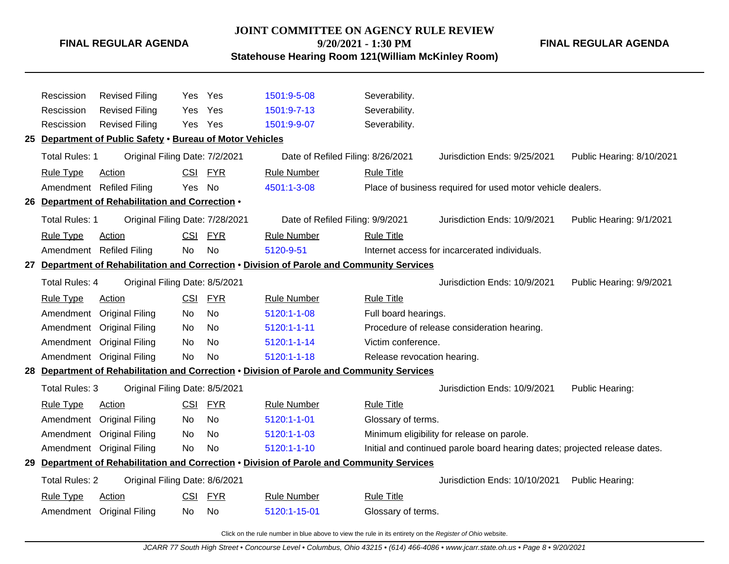**JOINT COMMITTEE ON AGENCY RULE REVIEW 9/20/2021 - 1:30 PM**

**FINAL REGULAR AGENDA**

**Statehouse Hearing Room 121(William McKinley Room)**

|    | Rescission            | <b>Revised Filing</b>                                     | Yes.       | Yes        | 1501:9-5-08                                                                                | Severability.               |                                                                            |                           |
|----|-----------------------|-----------------------------------------------------------|------------|------------|--------------------------------------------------------------------------------------------|-----------------------------|----------------------------------------------------------------------------|---------------------------|
|    | Rescission            | <b>Revised Filing</b>                                     | <b>Yes</b> | Yes        | 1501:9-7-13                                                                                | Severability.               |                                                                            |                           |
|    | Rescission            | <b>Revised Filing</b>                                     |            | Yes Yes    | 1501:9-9-07                                                                                | Severability.               |                                                                            |                           |
|    |                       | 25 Department of Public Safety . Bureau of Motor Vehicles |            |            |                                                                                            |                             |                                                                            |                           |
|    | Total Rules: 1        | Original Filing Date: 7/2/2021                            |            |            | Date of Refiled Filing: 8/26/2021                                                          |                             | Jurisdiction Ends: 9/25/2021                                               | Public Hearing: 8/10/2021 |
|    | <b>Rule Type</b>      | Action                                                    |            | CSI FYR    | <b>Rule Number</b>                                                                         | <b>Rule Title</b>           |                                                                            |                           |
|    |                       | Amendment Refiled Filing                                  | Yes        | No         | 4501:1-3-08                                                                                |                             | Place of business required for used motor vehicle dealers.                 |                           |
| 26 |                       | Department of Rehabilitation and Correction .             |            |            |                                                                                            |                             |                                                                            |                           |
|    | Total Rules: 1        | Original Filing Date: 7/28/2021                           |            |            | Date of Refiled Filing: 9/9/2021                                                           |                             | Jurisdiction Ends: 10/9/2021                                               | Public Hearing: 9/1/2021  |
|    | <b>Rule Type</b>      | Action                                                    | CSI        | <b>FYR</b> | <b>Rule Number</b>                                                                         | <b>Rule Title</b>           |                                                                            |                           |
|    |                       | Amendment Refiled Filing                                  | <b>No</b>  | <b>No</b>  | 5120-9-51                                                                                  |                             | Internet access for incarcerated individuals.                              |                           |
| 27 |                       |                                                           |            |            | Department of Rehabilitation and Correction . Division of Parole and Community Services    |                             |                                                                            |                           |
|    | <b>Total Rules: 4</b> | Original Filing Date: 8/5/2021                            |            |            |                                                                                            |                             | Jurisdiction Ends: 10/9/2021                                               | Public Hearing: 9/9/2021  |
|    | <b>Rule Type</b>      | <b>Action</b>                                             | <b>CSI</b> | <b>FYR</b> | <b>Rule Number</b>                                                                         | <b>Rule Title</b>           |                                                                            |                           |
|    | Amendment             | <b>Original Filing</b>                                    | No.        | No         | 5120:1-1-08                                                                                | Full board hearings.        |                                                                            |                           |
|    | Amendment             | <b>Original Filing</b>                                    | No         | No         | 5120:1-1-11                                                                                |                             | Procedure of release consideration hearing.                                |                           |
|    | Amendment             | <b>Original Filing</b>                                    | No         | No         | 5120:1-1-14                                                                                | Victim conference.          |                                                                            |                           |
|    |                       | Amendment Original Filing                                 | No         | No         | 5120:1-1-18                                                                                | Release revocation hearing. |                                                                            |                           |
|    |                       |                                                           |            |            | 28 Department of Rehabilitation and Correction . Division of Parole and Community Services |                             |                                                                            |                           |
|    | Total Rules: 3        | Original Filing Date: 8/5/2021                            |            |            |                                                                                            |                             | Jurisdiction Ends: 10/9/2021                                               | Public Hearing:           |
|    | <b>Rule Type</b>      | Action                                                    | <b>CSI</b> | <b>FYR</b> | <b>Rule Number</b>                                                                         | <b>Rule Title</b>           |                                                                            |                           |
|    |                       | Amendment Original Filing                                 | No.        | No         | 5120:1-1-01                                                                                | Glossary of terms.          |                                                                            |                           |
|    | Amendment             | <b>Original Filing</b>                                    | No         | No         | 5120:1-1-03                                                                                |                             | Minimum eligibility for release on parole.                                 |                           |
|    |                       | Amendment Original Filing                                 | No         | No         | 5120:1-1-10                                                                                |                             | Initial and continued parole board hearing dates; projected release dates. |                           |
| 29 |                       |                                                           |            |            | Department of Rehabilitation and Correction . Division of Parole and Community Services    |                             |                                                                            |                           |
|    | <b>Total Rules: 2</b> | Original Filing Date: 8/6/2021                            |            |            |                                                                                            |                             | Jurisdiction Ends: 10/10/2021                                              | Public Hearing:           |
|    | <b>Rule Type</b>      | <b>Action</b>                                             | <b>CSI</b> | <b>FYR</b> | <b>Rule Number</b>                                                                         | <b>Rule Title</b>           |                                                                            |                           |
|    |                       | Amendment Original Filing                                 | No.        | No         | 5120:1-15-01                                                                               | Glossary of terms.          |                                                                            |                           |
|    |                       |                                                           |            |            |                                                                                            |                             |                                                                            |                           |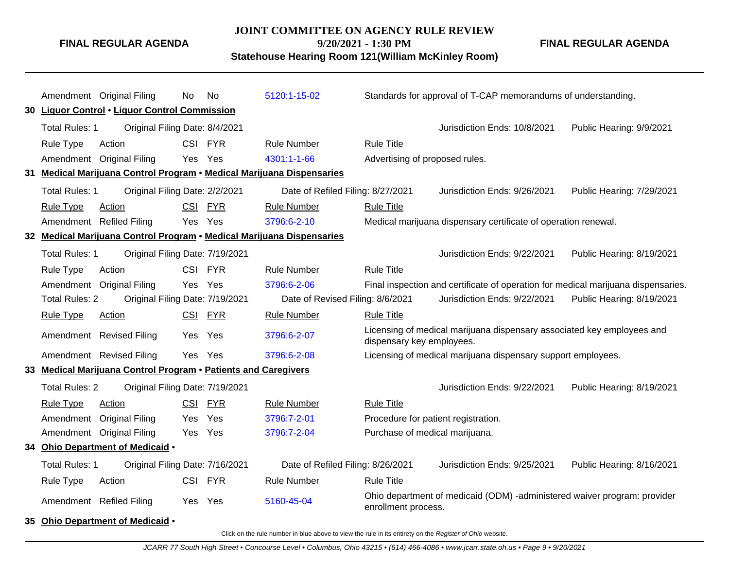# **JOINT COMMITTEE ON AGENCY RULE REVIEW 9/20/2021 - 1:30 PM**

**FINAL REGULAR AGENDA**

**Statehouse Hearing Room 121(William McKinley Room)**

|    |                       | Amendment Original Filing                                      | <b>No</b>  | No         | 5120:1-15-02                                                          |                                | Standards for approval of T-CAP memorandums of understanding.                     |                           |
|----|-----------------------|----------------------------------------------------------------|------------|------------|-----------------------------------------------------------------------|--------------------------------|-----------------------------------------------------------------------------------|---------------------------|
|    |                       | 30 Liquor Control . Liquor Control Commission                  |            |            |                                                                       |                                |                                                                                   |                           |
|    | Total Rules: 1        | Original Filing Date: 8/4/2021                                 |            |            |                                                                       |                                | Jurisdiction Ends: 10/8/2021                                                      | Public Hearing: 9/9/2021  |
|    | <b>Rule Type</b>      | <b>Action</b>                                                  |            | CSI FYR    | <b>Rule Number</b>                                                    | <b>Rule Title</b>              |                                                                                   |                           |
|    |                       | Amendment Original Filing                                      | Yes        | Yes        | 4301:1-1-66                                                           | Advertising of proposed rules. |                                                                                   |                           |
| 31 |                       |                                                                |            |            | Medical Marijuana Control Program • Medical Marijuana Dispensaries    |                                |                                                                                   |                           |
|    | Total Rules: 1        | Original Filing Date: 2/2/2021                                 |            |            | Date of Refiled Filing: 8/27/2021                                     |                                | Jurisdiction Ends: 9/26/2021                                                      | Public Hearing: 7/29/2021 |
|    | <b>Rule Type</b>      | Action                                                         | <b>CSI</b> | <b>FYR</b> | <b>Rule Number</b>                                                    | <b>Rule Title</b>              |                                                                                   |                           |
|    |                       | Amendment Refiled Filing                                       | Yes        | Yes        | 3796:6-2-10                                                           |                                | Medical marijuana dispensary certificate of operation renewal.                    |                           |
|    |                       |                                                                |            |            | 32 Medical Marijuana Control Program • Medical Marijuana Dispensaries |                                |                                                                                   |                           |
|    | Total Rules: 1        | Original Filing Date: 7/19/2021                                |            |            |                                                                       |                                | Jurisdiction Ends: 9/22/2021                                                      | Public Hearing: 8/19/2021 |
|    | <b>Rule Type</b>      | <b>Action</b>                                                  |            | CSI FYR    | <b>Rule Number</b>                                                    | <b>Rule Title</b>              |                                                                                   |                           |
|    |                       | Amendment Original Filing                                      |            | Yes Yes    | 3796:6-2-06                                                           |                                | Final inspection and certificate of operation for medical marijuana dispensaries. |                           |
|    | <b>Total Rules: 2</b> | Original Filing Date: 7/19/2021                                |            |            | Date of Revised Filing: 8/6/2021                                      |                                | Jurisdiction Ends: 9/22/2021                                                      | Public Hearing: 8/19/2021 |
|    | <b>Rule Type</b>      | Action                                                         |            | CSI FYR    | <b>Rule Number</b>                                                    | <b>Rule Title</b>              |                                                                                   |                           |
|    |                       | Amendment Revised Filing                                       | Yes        | Yes        | 3796:6-2-07                                                           | dispensary key employees.      | Licensing of medical marijuana dispensary associated key employees and            |                           |
|    |                       | Amendment Revised Filing                                       |            | Yes Yes    | 3796:6-2-08                                                           |                                | Licensing of medical marijuana dispensary support employees.                      |                           |
|    |                       | 33 Medical Marijuana Control Program . Patients and Caregivers |            |            |                                                                       |                                |                                                                                   |                           |
|    | <b>Total Rules: 2</b> | Original Filing Date: 7/19/2021                                |            |            |                                                                       |                                | Jurisdiction Ends: 9/22/2021                                                      | Public Hearing: 8/19/2021 |
|    | <b>Rule Type</b>      | <b>Action</b>                                                  | <u>CSI</u> | <b>FYR</b> | <b>Rule Number</b>                                                    | <b>Rule Title</b>              |                                                                                   |                           |
|    |                       | Amendment Original Filing                                      | <b>Yes</b> | Yes        | 3796:7-2-01                                                           |                                | Procedure for patient registration.                                               |                           |
|    |                       | Amendment Original Filing                                      |            | Yes Yes    | 3796:7-2-04                                                           | Purchase of medical marijuana. |                                                                                   |                           |
|    |                       | 34 Ohio Department of Medicaid .                               |            |            |                                                                       |                                |                                                                                   |                           |
|    | Total Rules: 1        | Original Filing Date: 7/16/2021                                |            |            | Date of Refiled Filing: 8/26/2021                                     |                                | Jurisdiction Ends: 9/25/2021                                                      | Public Hearing: 8/16/2021 |
|    | <b>Rule Type</b>      | <b>Action</b>                                                  | <u>CSI</u> | <b>FYR</b> | <b>Rule Number</b>                                                    | <b>Rule Title</b>              |                                                                                   |                           |
|    |                       | Amendment Refiled Filing                                       |            | Yes Yes    | 5160-45-04                                                            | enrollment process.            | Ohio department of medicaid (ODM) -administered waiver program: provider          |                           |
|    |                       | 35 Ohio Department of Medicaid .                               |            |            |                                                                       |                                |                                                                                   |                           |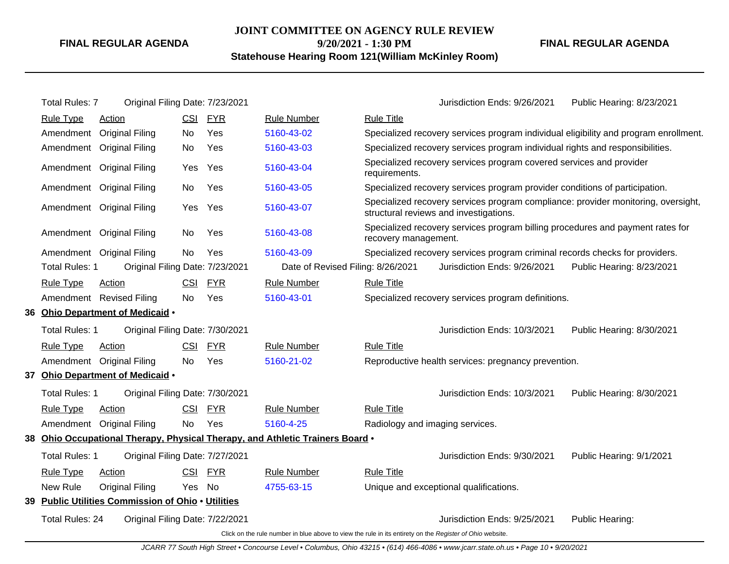# **JOINT COMMITTEE ON AGENCY RULE REVIEW 9/20/2021 - 1:30 PM**

**Statehouse Hearing Room 121(William McKinley Room)**

**FINAL REGULAR AGENDA**

| <b>Total Rules: 7</b> | Original Filing Date: 7/23/2021 |                                                                                                                                                                                                                                                                     |            |                                                                                                                                                                                                                                                 |                      | Jurisdiction Ends: 9/26/2021                                                                                       | Public Hearing: 8/23/2021                                                                                                                                                                                                                                                                          |
|-----------------------|---------------------------------|---------------------------------------------------------------------------------------------------------------------------------------------------------------------------------------------------------------------------------------------------------------------|------------|-------------------------------------------------------------------------------------------------------------------------------------------------------------------------------------------------------------------------------------------------|----------------------|--------------------------------------------------------------------------------------------------------------------|----------------------------------------------------------------------------------------------------------------------------------------------------------------------------------------------------------------------------------------------------------------------------------------------------|
| <b>Rule Type</b>      | Action                          | <b>CSI</b>                                                                                                                                                                                                                                                          | <b>FYR</b> | <b>Rule Number</b>                                                                                                                                                                                                                              | <b>Rule Title</b>    |                                                                                                                    |                                                                                                                                                                                                                                                                                                    |
|                       | Amendment Original Filing       | No.                                                                                                                                                                                                                                                                 | Yes        | 5160-43-02                                                                                                                                                                                                                                      |                      |                                                                                                                    | Specialized recovery services program individual eligibility and program enrollment.                                                                                                                                                                                                               |
|                       | Amendment Original Filing       | No                                                                                                                                                                                                                                                                  | Yes        | 5160-43-03                                                                                                                                                                                                                                      |                      | Specialized recovery services program individual rights and responsibilities.                                      |                                                                                                                                                                                                                                                                                                    |
|                       | Amendment Original Filing       | Yes                                                                                                                                                                                                                                                                 | Yes        | 5160-43-04                                                                                                                                                                                                                                      | requirements.        | Specialized recovery services program covered services and provider                                                |                                                                                                                                                                                                                                                                                                    |
|                       | Amendment Original Filing       | No.                                                                                                                                                                                                                                                                 | Yes        | 5160-43-05                                                                                                                                                                                                                                      |                      | Specialized recovery services program provider conditions of participation.                                        |                                                                                                                                                                                                                                                                                                    |
|                       | Amendment Original Filing       | Yes                                                                                                                                                                                                                                                                 | Yes        | 5160-43-07                                                                                                                                                                                                                                      |                      | structural reviews and investigations.                                                                             | Specialized recovery services program compliance: provider monitoring, oversight,                                                                                                                                                                                                                  |
|                       | Amendment Original Filing       | No.                                                                                                                                                                                                                                                                 | <b>Yes</b> | 5160-43-08                                                                                                                                                                                                                                      | recovery management. | Specialized recovery services program billing procedures and payment rates for                                     |                                                                                                                                                                                                                                                                                                    |
|                       | Amendment Original Filing       | No.                                                                                                                                                                                                                                                                 | Yes        | 5160-43-09                                                                                                                                                                                                                                      |                      | Specialized recovery services program criminal records checks for providers.                                       |                                                                                                                                                                                                                                                                                                    |
|                       |                                 |                                                                                                                                                                                                                                                                     |            |                                                                                                                                                                                                                                                 |                      | Jurisdiction Ends: 9/26/2021                                                                                       | Public Hearing: 8/23/2021                                                                                                                                                                                                                                                                          |
| <b>Rule Type</b>      | Action                          | <b>CSI</b>                                                                                                                                                                                                                                                          | <b>FYR</b> | <b>Rule Number</b>                                                                                                                                                                                                                              | <b>Rule Title</b>    |                                                                                                                    |                                                                                                                                                                                                                                                                                                    |
|                       |                                 | No.                                                                                                                                                                                                                                                                 | Yes        | 5160-43-01                                                                                                                                                                                                                                      |                      |                                                                                                                    |                                                                                                                                                                                                                                                                                                    |
|                       |                                 |                                                                                                                                                                                                                                                                     |            |                                                                                                                                                                                                                                                 |                      |                                                                                                                    |                                                                                                                                                                                                                                                                                                    |
|                       |                                 |                                                                                                                                                                                                                                                                     |            |                                                                                                                                                                                                                                                 |                      | Jurisdiction Ends: 10/3/2021                                                                                       | Public Hearing: 8/30/2021                                                                                                                                                                                                                                                                          |
| <b>Rule Type</b>      | Action                          | CSI                                                                                                                                                                                                                                                                 | <b>FYR</b> | <b>Rule Number</b>                                                                                                                                                                                                                              | <b>Rule Title</b>    |                                                                                                                    |                                                                                                                                                                                                                                                                                                    |
|                       |                                 | <b>No</b>                                                                                                                                                                                                                                                           | Yes        | 5160-21-02                                                                                                                                                                                                                                      |                      |                                                                                                                    |                                                                                                                                                                                                                                                                                                    |
|                       |                                 |                                                                                                                                                                                                                                                                     |            |                                                                                                                                                                                                                                                 |                      |                                                                                                                    |                                                                                                                                                                                                                                                                                                    |
|                       |                                 |                                                                                                                                                                                                                                                                     |            |                                                                                                                                                                                                                                                 |                      | Jurisdiction Ends: 10/3/2021                                                                                       | Public Hearing: 8/30/2021                                                                                                                                                                                                                                                                          |
| <b>Rule Type</b>      | Action                          | CSI                                                                                                                                                                                                                                                                 | <b>FYR</b> | <b>Rule Number</b>                                                                                                                                                                                                                              | <b>Rule Title</b>    |                                                                                                                    |                                                                                                                                                                                                                                                                                                    |
|                       |                                 | N <sub>o</sub>                                                                                                                                                                                                                                                      | Yes        | 5160-4-25                                                                                                                                                                                                                                       |                      |                                                                                                                    |                                                                                                                                                                                                                                                                                                    |
|                       |                                 |                                                                                                                                                                                                                                                                     |            |                                                                                                                                                                                                                                                 |                      |                                                                                                                    |                                                                                                                                                                                                                                                                                                    |
|                       |                                 |                                                                                                                                                                                                                                                                     |            |                                                                                                                                                                                                                                                 |                      | Jurisdiction Ends: 9/30/2021                                                                                       | Public Hearing: 9/1/2021                                                                                                                                                                                                                                                                           |
| <b>Rule Type</b>      | <b>Action</b>                   |                                                                                                                                                                                                                                                                     | <b>FYR</b> | <b>Rule Number</b>                                                                                                                                                                                                                              | <b>Rule Title</b>    |                                                                                                                    |                                                                                                                                                                                                                                                                                                    |
| New Rule              | <b>Original Filing</b>          | Yes.                                                                                                                                                                                                                                                                | No         | 4755-63-15                                                                                                                                                                                                                                      |                      |                                                                                                                    |                                                                                                                                                                                                                                                                                                    |
|                       |                                 |                                                                                                                                                                                                                                                                     |            |                                                                                                                                                                                                                                                 |                      |                                                                                                                    |                                                                                                                                                                                                                                                                                                    |
|                       |                                 |                                                                                                                                                                                                                                                                     |            |                                                                                                                                                                                                                                                 |                      | Jurisdiction Ends: 9/25/2021                                                                                       | Public Hearing:                                                                                                                                                                                                                                                                                    |
|                       |                                 |                                                                                                                                                                                                                                                                     |            |                                                                                                                                                                                                                                                 |                      |                                                                                                                    |                                                                                                                                                                                                                                                                                                    |
|                       |                                 | <b>Total Rules: 1</b><br>Amendment Revised Filing<br>36 Ohio Department of Medicaid .<br>Total Rules: 1<br>Amendment Original Filing<br>37 Ohio Department of Medicaid .<br><b>Total Rules: 1</b><br>Amendment Original Filing<br>Total Rules: 1<br>Total Rules: 24 |            | Original Filing Date: 7/23/2021<br>Original Filing Date: 7/30/2021<br>Original Filing Date: 7/30/2021<br>Original Filing Date: 7/27/2021<br><u>CSI</u><br>39 Public Utilities Commission of Ohio . Utilities<br>Original Filing Date: 7/22/2021 |                      | Date of Revised Filing: 8/26/2021<br>38 Ohio Occupational Therapy, Physical Therapy, and Athletic Trainers Board . | Specialized recovery services program definitions.<br>Reproductive health services: pregnancy prevention.<br>Radiology and imaging services.<br>Unique and exceptional qualifications.<br>Click on the rule number in blue above to view the rule in its entirety on the Register of Ohio website. |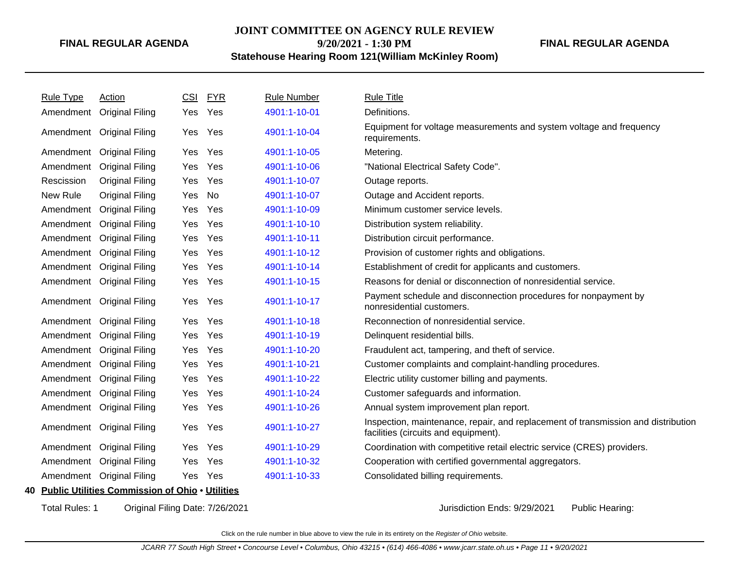# **JOINT COMMITTEE ON AGENCY RULE REVIEW 9/20/2021 - 1:30 PM**

**FINAL REGULAR AGENDA**

# **Statehouse Hearing Room 121(William McKinley Room)**

| <b>Rule Type</b> | Action                                             | <b>CSI</b> | <b>FYR</b> | <b>Rule Number</b> | <b>Rule Title</b>                                                                                                         |
|------------------|----------------------------------------------------|------------|------------|--------------------|---------------------------------------------------------------------------------------------------------------------------|
| Amendment        | <b>Original Filing</b>                             | Yes        | Yes        | 4901:1-10-01       | Definitions.                                                                                                              |
|                  | Amendment Original Filing                          | Yes        | Yes        | 4901:1-10-04       | Equipment for voltage measurements and system voltage and frequency<br>requirements.                                      |
|                  | Amendment Original Filing                          | Yes        | Yes        | 4901:1-10-05       | Metering.                                                                                                                 |
| Amendment        | <b>Original Filing</b>                             | Yes        | Yes        | 4901:1-10-06       | "National Electrical Safety Code".                                                                                        |
| Rescission       | <b>Original Filing</b>                             | Yes        | Yes        | 4901:1-10-07       | Outage reports.                                                                                                           |
| New Rule         | <b>Original Filing</b>                             | Yes        | No         | 4901:1-10-07       | Outage and Accident reports.                                                                                              |
| Amendment        | <b>Original Filing</b>                             | Yes        | Yes        | 4901:1-10-09       | Minimum customer service levels.                                                                                          |
|                  | Amendment Original Filing                          | Yes        | Yes        | 4901:1-10-10       | Distribution system reliability.                                                                                          |
|                  | Amendment Original Filing                          | Yes        | Yes        | 4901:1-10-11       | Distribution circuit performance.                                                                                         |
| Amendment        | <b>Original Filing</b>                             | Yes        | Yes        | 4901:1-10-12       | Provision of customer rights and obligations.                                                                             |
| Amendment        | <b>Original Filing</b>                             | Yes        | Yes        | 4901:1-10-14       | Establishment of credit for applicants and customers.                                                                     |
|                  | Amendment Original Filing                          | Yes        | Yes        | 4901:1-10-15       | Reasons for denial or disconnection of nonresidential service.                                                            |
|                  | Amendment Original Filing                          | Yes        | Yes        | 4901:1-10-17       | Payment schedule and disconnection procedures for nonpayment by<br>nonresidential customers.                              |
|                  | Amendment Original Filing                          | Yes        | Yes        | 4901:1-10-18       | Reconnection of nonresidential service.                                                                                   |
|                  | Amendment Original Filing                          | Yes        | Yes        | 4901:1-10-19       | Delinquent residential bills.                                                                                             |
|                  | Amendment Original Filing                          | Yes        | Yes        | 4901:1-10-20       | Fraudulent act, tampering, and theft of service.                                                                          |
| Amendment        | <b>Original Filing</b>                             | Yes        | Yes        | 4901:1-10-21       | Customer complaints and complaint-handling procedures.                                                                    |
|                  | Amendment Original Filing                          | Yes        | Yes        | 4901:1-10-22       | Electric utility customer billing and payments.                                                                           |
|                  | Amendment Original Filing                          | Yes        | Yes        | 4901:1-10-24       | Customer safeguards and information.                                                                                      |
|                  | Amendment Original Filing                          | Yes        | Yes        | 4901:1-10-26       | Annual system improvement plan report.                                                                                    |
|                  | Amendment Original Filing                          | Yes        | Yes        | 4901:1-10-27       | Inspection, maintenance, repair, and replacement of transmission and distribution<br>facilities (circuits and equipment). |
|                  | Amendment Original Filing                          | Yes        | Yes        | 4901:1-10-29       | Coordination with competitive retail electric service (CRES) providers.                                                   |
|                  | Amendment Original Filing                          | Yes        | Yes        | 4901:1-10-32       | Cooperation with certified governmental aggregators.                                                                      |
|                  | Amendment Original Filing                          | Yes        | Yes        | 4901:1-10-33       | Consolidated billing requirements.                                                                                        |
|                  | 40 Public Utilities Commission of Ohio . Utilities |            |            |                    |                                                                                                                           |
|                  |                                                    |            |            |                    |                                                                                                                           |

Total Rules: 1 Original Filing Date: 7/26/2021 **Contact Contact Contact Contact Contact Contact Contact Contact Contact Contact Contact Public Hearing:**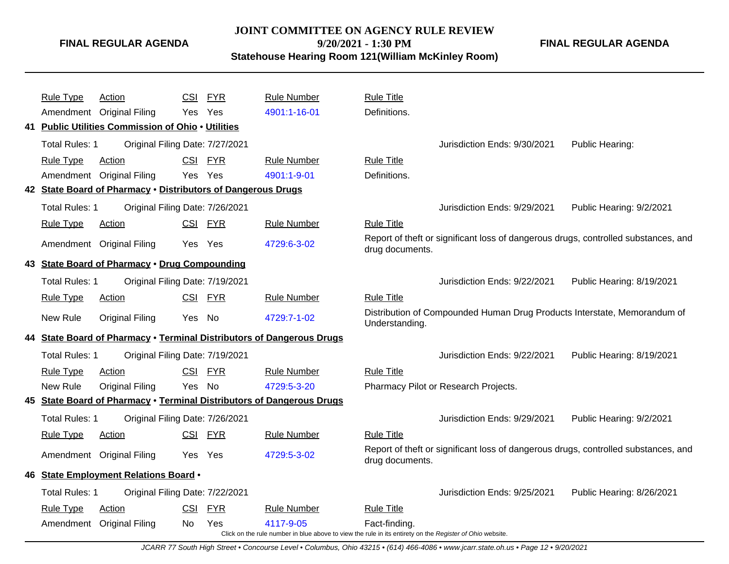# **JOINT COMMITTEE ON AGENCY RULE REVIEW 9/20/2021 - 1:30 PM**

**FINAL REGULAR AGENDA**

**Statehouse Hearing Room 121(William McKinley Room)**

|    | <b>Rule Type</b>                                                      | <b>Action</b>                                                | <b>CSI</b><br><b>FYR</b>        | <b>Rule Number</b>                                                                                       | <b>Rule Title</b> |                                                                                    |                           |
|----|-----------------------------------------------------------------------|--------------------------------------------------------------|---------------------------------|----------------------------------------------------------------------------------------------------------|-------------------|------------------------------------------------------------------------------------|---------------------------|
|    |                                                                       | Amendment Original Filing                                    | Yes<br>Yes                      | 4901:1-16-01                                                                                             | Definitions.      |                                                                                    |                           |
|    |                                                                       | 41 Public Utilities Commission of Ohio . Utilities           |                                 |                                                                                                          |                   |                                                                                    |                           |
|    | Total Rules: 1                                                        |                                                              | Original Filing Date: 7/27/2021 |                                                                                                          |                   | Jurisdiction Ends: 9/30/2021                                                       | Public Hearing:           |
|    | <b>Rule Type</b>                                                      | <b>Action</b>                                                | <u>FYR</u><br><u>CSI</u>        | <b>Rule Number</b>                                                                                       | <b>Rule Title</b> |                                                                                    |                           |
|    |                                                                       | Amendment Original Filing                                    | Yes Yes                         | 4901:1-9-01                                                                                              | Definitions.      |                                                                                    |                           |
|    |                                                                       | 42 State Board of Pharmacy . Distributors of Dangerous Drugs |                                 |                                                                                                          |                   |                                                                                    |                           |
|    | <b>Total Rules: 1</b>                                                 |                                                              | Original Filing Date: 7/26/2021 |                                                                                                          |                   | Jurisdiction Ends: 9/29/2021                                                       | Public Hearing: 9/2/2021  |
|    | <b>Rule Type</b>                                                      | Action                                                       | CSI FYR                         | <b>Rule Number</b>                                                                                       | <b>Rule Title</b> |                                                                                    |                           |
|    |                                                                       | Amendment Original Filing                                    | Yes Yes                         | 4729:6-3-02                                                                                              | drug documents.   | Report of theft or significant loss of dangerous drugs, controlled substances, and |                           |
|    |                                                                       | 43 State Board of Pharmacy . Drug Compounding                |                                 |                                                                                                          |                   |                                                                                    |                           |
|    | <b>Total Rules: 1</b>                                                 |                                                              | Original Filing Date: 7/19/2021 |                                                                                                          |                   | Jurisdiction Ends: 9/22/2021                                                       | Public Hearing: 8/19/2021 |
|    | <b>Rule Type</b>                                                      | <b>Action</b>                                                | CSI FYR                         | <b>Rule Number</b>                                                                                       | <b>Rule Title</b> |                                                                                    |                           |
|    | New Rule                                                              | <b>Original Filing</b>                                       | Yes<br>No                       | 4729:7-1-02                                                                                              | Understanding.    | Distribution of Compounded Human Drug Products Interstate, Memorandum of           |                           |
|    |                                                                       |                                                              |                                 | 44 State Board of Pharmacy . Terminal Distributors of Dangerous Drugs                                    |                   |                                                                                    |                           |
|    | Total Rules: 1                                                        |                                                              | Original Filing Date: 7/19/2021 |                                                                                                          |                   | Jurisdiction Ends: 9/22/2021                                                       | Public Hearing: 8/19/2021 |
|    | <b>Rule Type</b>                                                      | Action                                                       | <b>CSI</b><br><b>FYR</b>        | <b>Rule Number</b>                                                                                       | <b>Rule Title</b> |                                                                                    |                           |
|    | New Rule                                                              | <b>Original Filing</b>                                       | Yes No                          | 4729:5-3-20                                                                                              |                   | Pharmacy Pilot or Research Projects.                                               |                           |
|    | 45 State Board of Pharmacy . Terminal Distributors of Dangerous Drugs |                                                              |                                 |                                                                                                          |                   |                                                                                    |                           |
|    | Total Rules: 1                                                        |                                                              | Original Filing Date: 7/26/2021 |                                                                                                          |                   | Jurisdiction Ends: 9/29/2021                                                       | Public Hearing: 9/2/2021  |
|    | <b>Rule Type</b>                                                      | Action                                                       | CSI FYR                         | <b>Rule Number</b>                                                                                       | <b>Rule Title</b> |                                                                                    |                           |
|    |                                                                       | Amendment Original Filing                                    | Yes Yes                         | 4729:5-3-02                                                                                              | drug documents.   | Report of theft or significant loss of dangerous drugs, controlled substances, and |                           |
| 46 |                                                                       | State Employment Relations Board .                           |                                 |                                                                                                          |                   |                                                                                    |                           |
|    | Total Rules: 1                                                        |                                                              | Original Filing Date: 7/22/2021 |                                                                                                          |                   | Jurisdiction Ends: 9/25/2021                                                       | Public Hearing: 8/26/2021 |
|    | <b>Rule Type</b>                                                      | Action                                                       | <b>CSI</b><br><b>FYR</b>        | <b>Rule Number</b>                                                                                       | <b>Rule Title</b> |                                                                                    |                           |
|    |                                                                       | Amendment Original Filing                                    | Yes<br>No.                      | 4117-9-05                                                                                                | Fact-finding.     |                                                                                    |                           |
|    |                                                                       |                                                              |                                 | Click on the rule number in blue above to view the rule in its entirety on the Register of Ohio website. |                   |                                                                                    |                           |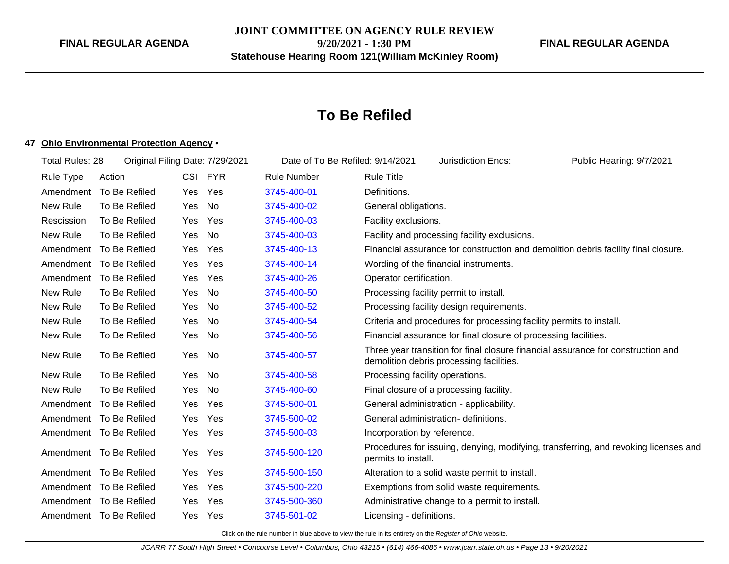# **To Be Refiled**

# **47 Ohio Environmental Protection Agency** •

| Total Rules: 28  |                         |            | Original Filing Date: 7/29/2021 | Date of To Be Refiled: 9/14/2021 |                                 | Jurisdiction Ends:                                                  | Public Hearing: 9/7/2021                                                            |
|------------------|-------------------------|------------|---------------------------------|----------------------------------|---------------------------------|---------------------------------------------------------------------|-------------------------------------------------------------------------------------|
| <b>Rule Type</b> | <b>Action</b>           | <b>CSI</b> | <b>FYR</b>                      | <b>Rule Number</b>               | <b>Rule Title</b>               |                                                                     |                                                                                     |
| Amendment        | To Be Refiled           | Yes.       | Yes                             | 3745-400-01                      | Definitions.                    |                                                                     |                                                                                     |
| New Rule         | To Be Refiled           | Yes        | No                              | 3745-400-02                      | General obligations.            |                                                                     |                                                                                     |
| Rescission       | To Be Refiled           | Yes.       | Yes                             | 3745-400-03                      | Facility exclusions.            |                                                                     |                                                                                     |
| New Rule         | To Be Refiled           | Yes        | No                              | 3745-400-03                      |                                 | Facility and processing facility exclusions.                        |                                                                                     |
| Amendment        | To Be Refiled           | Yes        | Yes                             | 3745-400-13                      |                                 |                                                                     | Financial assurance for construction and demolition debris facility final closure.  |
| Amendment        | To Be Refiled           | Yes        | Yes                             | 3745-400-14                      |                                 | Wording of the financial instruments.                               |                                                                                     |
| Amendment        | To Be Refiled           | Yes        | Yes                             | 3745-400-26                      | Operator certification.         |                                                                     |                                                                                     |
| New Rule         | To Be Refiled           | Yes        | No                              | 3745-400-50                      |                                 | Processing facility permit to install.                              |                                                                                     |
| New Rule         | To Be Refiled           | Yes        | No                              | 3745-400-52                      |                                 | Processing facility design requirements.                            |                                                                                     |
| New Rule         | To Be Refiled           | Yes.       | No.                             | 3745-400-54                      |                                 | Criteria and procedures for processing facility permits to install. |                                                                                     |
| New Rule         | To Be Refiled           | Yes        | No                              | 3745-400-56                      |                                 | Financial assurance for final closure of processing facilities.     |                                                                                     |
| New Rule         | To Be Refiled           | Yes        | No                              | 3745-400-57                      |                                 | demolition debris processing facilities.                            | Three year transition for final closure financial assurance for construction and    |
| New Rule         | To Be Refiled           | Yes        | No                              | 3745-400-58                      | Processing facility operations. |                                                                     |                                                                                     |
| New Rule         | To Be Refiled           | Yes        | No                              | 3745-400-60                      |                                 | Final closure of a processing facility.                             |                                                                                     |
| Amendment        | To Be Refiled           | Yes        | Yes                             | 3745-500-01                      |                                 | General administration - applicability.                             |                                                                                     |
|                  | Amendment To Be Refiled | Yes.       | Yes                             | 3745-500-02                      |                                 | General administration- definitions.                                |                                                                                     |
|                  | Amendment To Be Refiled | Yes.       | Yes                             | 3745-500-03                      | Incorporation by reference.     |                                                                     |                                                                                     |
|                  | Amendment To Be Refiled | Yes        | Yes                             | 3745-500-120                     | permits to install.             |                                                                     | Procedures for issuing, denying, modifying, transferring, and revoking licenses and |
|                  | Amendment To Be Refiled | Yes.       | Yes                             | 3745-500-150                     |                                 | Alteration to a solid waste permit to install.                      |                                                                                     |
|                  | Amendment To Be Refiled | Yes        | Yes                             | 3745-500-220                     |                                 | Exemptions from solid waste requirements.                           |                                                                                     |
|                  | Amendment To Be Refiled | Yes        | Yes                             | 3745-500-360                     |                                 | Administrative change to a permit to install.                       |                                                                                     |
|                  | Amendment To Be Refiled | Yes        | Yes                             | 3745-501-02                      | Licensing - definitions.        |                                                                     |                                                                                     |
|                  |                         |            |                                 |                                  |                                 |                                                                     |                                                                                     |